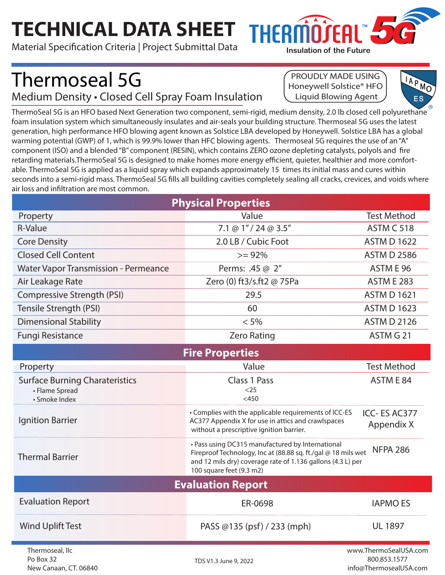## **TECHNICAL DATA SHEET**

Material Specification Criteria | Project Submittal Data

Thermoseal 5G

New Canaan, CT. 06840

Medium Density • Closed Cell Spray Foam Insulation

## PROUDLY MADE USING Honeywell Solstice® HFO Liquid Blowing Agent

**Insulation of the Future**

THERMO≀EAI™



ThermoSeal 5G is an HFO based Next Generation two component, semi-rigid, medium density, 2.0 lb closed cell polyurethane foam insulation system which simultaneously insulates and air-seals your building structure. Thermoseal 5G uses the latest generation, high performance HFO blowing agent known as Solstice LBA developed by Honeywell. Solstice LBA has a global warming potential (GWP) of 1, which is 99.9% lower than HFC blowing agents. Thermoseal 5G requires the use of an "A" component (ISO) and a blended "B" component (RESIN), which contains ZERO ozone depleting catalysts, polyols and fire retarding materials.ThermoSeal 5G is designed to make homes more energy efficient, quieter, healthier and more comfortable. ThermoSeal 5G is applied as a liquid spray which expands approximately 15 times its initial mass and cures within seconds into a semi-rigid mass. ThermoSeal 5G fills all building cavities completely sealing all cracks, crevices, and voids where air loss and infiltration are most common.

| <b>Physical Properties</b>                                               |                                                                                                                                                                                                              |                                       |  |  |
|--------------------------------------------------------------------------|--------------------------------------------------------------------------------------------------------------------------------------------------------------------------------------------------------------|---------------------------------------|--|--|
| Property                                                                 | Value                                                                                                                                                                                                        | <b>Test Method</b>                    |  |  |
| R-Value                                                                  | 7.1 @ 1" / 24 @ 3.5"                                                                                                                                                                                         | ASTM C 518                            |  |  |
| <b>Core Density</b>                                                      | 2.0 LB / Cubic Foot                                                                                                                                                                                          | <b>ASTM D 1622</b>                    |  |  |
| <b>Closed Cell Content</b>                                               | $>= 92%$                                                                                                                                                                                                     | <b>ASTM D 2586</b>                    |  |  |
| <b>Water Vapor Transmission - Permeance</b>                              | Perms: .45 @ 2"                                                                                                                                                                                              | ASTM E 96                             |  |  |
| Air Leakage Rate                                                         | Zero (0) ft3/s.ft2 @ 75Pa                                                                                                                                                                                    | <b>ASTM E 283</b>                     |  |  |
| Compressive Strength (PSI)                                               | 29.5                                                                                                                                                                                                         | <b>ASTM D 1621</b>                    |  |  |
| Tensile Strength (PSI)                                                   | 60                                                                                                                                                                                                           | <b>ASTM D 1623</b>                    |  |  |
| <b>Dimensional Stability</b>                                             | $< 5\%$                                                                                                                                                                                                      | <b>ASTM D 2126</b>                    |  |  |
| <b>Fungi Resistance</b>                                                  | <b>Zero Rating</b>                                                                                                                                                                                           | ASTM G 21                             |  |  |
| <b>Fire Properties</b>                                                   |                                                                                                                                                                                                              |                                       |  |  |
| Property                                                                 | Value                                                                                                                                                                                                        | <b>Test Method</b>                    |  |  |
| <b>Surface Burning Charateristics</b><br>• Flame Spread<br>• Smoke Index | <b>Class 1 Pass</b><br>$<$ 25<br>$<$ 450                                                                                                                                                                     | ASTM E 84                             |  |  |
| <b>Ignition Barrier</b>                                                  | • Complies with the applicable requirements of ICC-ES<br>AC377 Appendix X for use in attics and crawlspaces<br>without a prescriptive ignition barrier.                                                      | ICC-ES AC377<br>Appendix X            |  |  |
| <b>Thermal Barrier</b>                                                   | • Pass using DC315 manufactured by International<br>Fireproof Technology, Inc at (88.88 sq. ft./gal @ 18 mils wet<br>and 12 mils dry) coverage rate of 1.136 gallons (4.3 L) per<br>100 square feet (9.3 m2) | <b>NFPA 286</b>                       |  |  |
| <b>Evaluation Report</b>                                                 |                                                                                                                                                                                                              |                                       |  |  |
| <b>Evaluation Report</b>                                                 | ER-0698                                                                                                                                                                                                      | <b>IAPMO ES</b>                       |  |  |
| <b>Wind Uplift Test</b>                                                  | PASS @135 (psf) / 233 (mph)                                                                                                                                                                                  | <b>UL 1897</b>                        |  |  |
| Thermoseal, llc<br>Po Box 32                                             | TDS V1.3 June 9, 2022                                                                                                                                                                                        | www.ThermoSealUSA.com<br>800.853.1577 |  |  |

800.853.1577 info@ThermosealUSA.com